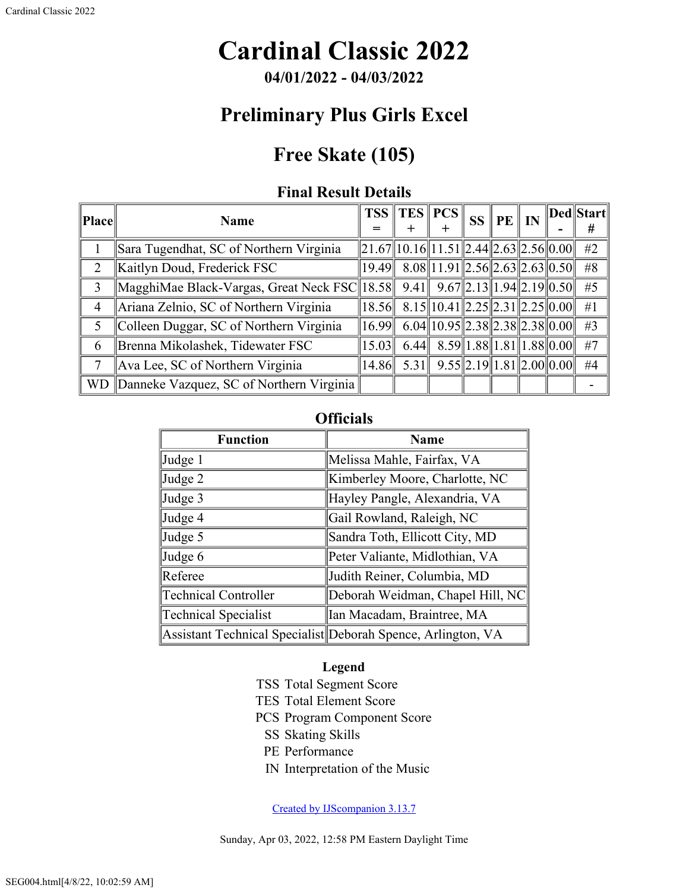# **Cardinal Classic 2022**

**04/01/2022 - 04/03/2022**

### **Preliminary Plus Girls Excel**

## **Free Skate (105)**

#### **Final Result Details**

| Place          | <b>Name</b>                                       |       | $TSS$   TES   PCS                                                                                                               |                                        | <b>SS</b> | $\ $ PE $\ $ IN |                                           | Ded  Start |
|----------------|---------------------------------------------------|-------|---------------------------------------------------------------------------------------------------------------------------------|----------------------------------------|-----------|-----------------|-------------------------------------------|------------|
|                |                                                   |       |                                                                                                                                 |                                        |           |                 |                                           |            |
|                | Sara Tugendhat, SC of Northern Virginia           |       | $\ 21.67\ 10.16\ 11.51\ 2.44\ 2.63\ 2.56\ 0.00\ $                                                                               |                                        |           |                 |                                           | #2         |
| $\overline{2}$ | Kaitlyn Doud, Frederick FSC                       |       | $19.49$ 8.08 11.91 2.56 2.63 2.63 0.50                                                                                          |                                        |           |                 |                                           | #8         |
| 3              | MagghiMae Black-Vargas, Great Neck FSC 18.58 9.41 |       |                                                                                                                                 | $9.67$   2.13  1.94  2.19  0.50        |           |                 |                                           | #5         |
| 4              | Ariana Zelnio, SC of Northern Virginia            |       | $\overline{18.56}$ $\overline{8.15}$ $\overline{10.41}$ $\overline{2.25}$ $\overline{2.31}$ $\overline{2.25}$ $\overline{0.00}$ |                                        |           |                 |                                           | #1         |
| 5              | Colleen Duggar, SC of Northern Virginia           | 16.99 |                                                                                                                                 | $6.04$   10.95  2.38  2.38  2.38  0.00 |           |                 |                                           | #3         |
| 6              | Brenna Mikolashek, Tidewater FSC                  | 15.03 | 6.44                                                                                                                            | $8.59$   1.88  1.81  1.88  0.00        |           |                 |                                           | #7         |
|                | Ava Lee, SC of Northern Virginia                  | 14.86 | 5.31                                                                                                                            |                                        |           |                 | $9.55 \  2.19 \  1.81 \  2.00 \  0.00 \ $ | #4         |
| <b>WD</b>      | Danneke Vazquez, SC of Northern Virginia          |       |                                                                                                                                 |                                        |           |                 |                                           |            |

### **Officials**

| <b>Function</b>             | <b>Name</b>                                                  |
|-----------------------------|--------------------------------------------------------------|
| Judge 1                     | Melissa Mahle, Fairfax, VA                                   |
| Judge 2                     | Kimberley Moore, Charlotte, NC                               |
| Judge 3                     | Hayley Pangle, Alexandria, VA                                |
| Judge 4                     | Gail Rowland, Raleigh, NC                                    |
| Judge 5                     | Sandra Toth, Ellicott City, MD                               |
| Judge 6                     | Peter Valiante, Midlothian, VA                               |
| Referee                     | Judith Reiner, Columbia, MD                                  |
| <b>Technical Controller</b> | Deborah Weidman, Chapel Hill, NC                             |
| Technical Specialist        | Ian Macadam, Braintree, MA                                   |
|                             | Assistant Technical Specialist Deborah Spence, Arlington, VA |

#### **Legend**

- TSS Total Segment Score
- TES Total Element Score
- PCS Program Component Score
	- SS Skating Skills
	- PE Performance
	- IN Interpretation of the Music

[Created by IJScompanion 3.13.7](http://www.usfigureskating.org/)